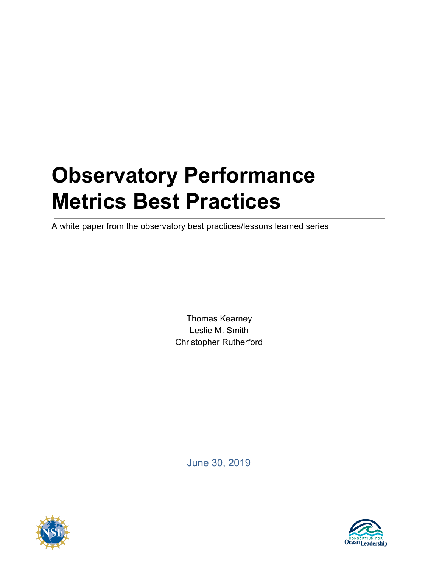# **Observatory Performance Metrics Best Practices**

A white paper from the observatory best practices/lessons learned series

Thomas Kearney Leslie M. Smith Christopher Rutherford

June 30, 2019



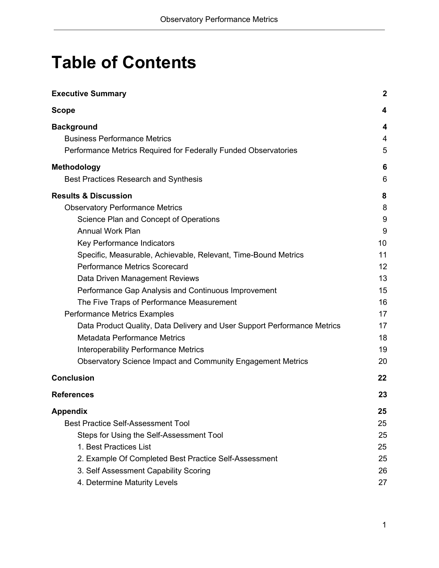## **Table of Contents**

| <b>Executive Summary</b>                                                 | $\boldsymbol{2}$ |
|--------------------------------------------------------------------------|------------------|
| <b>Scope</b>                                                             | 4                |
| <b>Background</b>                                                        | 4                |
| <b>Business Performance Metrics</b>                                      | 4                |
| Performance Metrics Required for Federally Funded Observatories          | 5                |
| <b>Methodology</b>                                                       | 6                |
| Best Practices Research and Synthesis                                    | 6                |
| <b>Results &amp; Discussion</b>                                          | 8                |
| <b>Observatory Performance Metrics</b>                                   | 8                |
| Science Plan and Concept of Operations                                   | 9                |
| <b>Annual Work Plan</b>                                                  | 9                |
| Key Performance Indicators                                               | 10               |
| Specific, Measurable, Achievable, Relevant, Time-Bound Metrics           | 11               |
| <b>Performance Metrics Scorecard</b>                                     | 12               |
| Data Driven Management Reviews                                           | 13               |
| Performance Gap Analysis and Continuous Improvement                      | 15               |
| The Five Traps of Performance Measurement                                | 16               |
| Performance Metrics Examples                                             | 17               |
| Data Product Quality, Data Delivery and User Support Performance Metrics | 17               |
| <b>Metadata Performance Metrics</b>                                      | 18               |
| <b>Interoperability Performance Metrics</b>                              | 19               |
| <b>Observatory Science Impact and Community Engagement Metrics</b>       | 20               |
| <b>Conclusion</b>                                                        | 22               |
| <b>References</b>                                                        | 23               |
| <b>Appendix</b>                                                          | 25               |
| <b>Best Practice Self-Assessment Tool</b>                                | 25               |
| Steps for Using the Self-Assessment Tool                                 | 25               |
| 1. Best Practices List                                                   | 25               |
| 2. Example Of Completed Best Practice Self-Assessment                    | 25               |
| 3. Self Assessment Capability Scoring                                    | 26               |
| 4. Determine Maturity Levels                                             | 27               |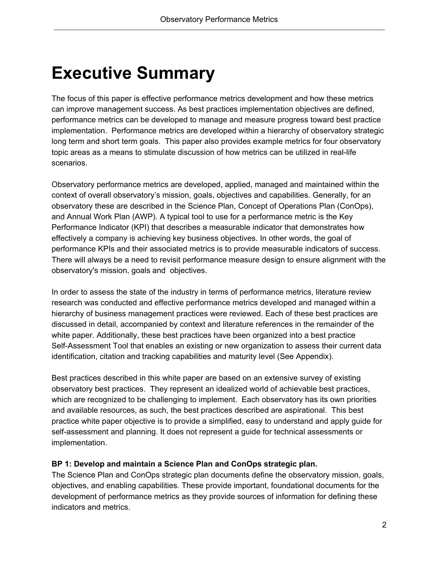## <span id="page-2-0"></span>**Executive Summary**

The focus of this paper is effective performance metrics development and how these metrics can improve management success. As best practices implementation objectives are defined, performance metrics can be developed to manage and measure progress toward best practice implementation. Performance metrics are developed within a hierarchy of observatory strategic long term and short term goals. This paper also provides example metrics for four observatory topic areas as a means to stimulate discussion of how metrics can be utilized in real-life scenarios.

Observatory performance metrics are developed, applied, managed and maintained within the context of overall observatory's mission, goals, objectives and capabilities. Generally, for an observatory these are described in the Science Plan, Concept of Operations Plan (ConOps), and Annual Work Plan (AWP). A typical tool to use for a performance metric is the Key Performance Indicator (KPI) that describes a measurable indicator that demonstrates how effectively a company is achieving key business objectives. In other words, the goal of performance KPIs and their associated metrics is to provide measurable indicators of success. There will always be a need to revisit performance measure design to ensure alignment with the observatory's mission, goals and objectives.

In order to assess the state of the industry in terms of performance metrics, literature review research was conducted and effective performance metrics developed and managed within a hierarchy of business management practices were reviewed. Each of these best practices are discussed in detail, accompanied by context and literature references in the remainder of the white paper. Additionally, these best practices have been organized into a best practice Self-Assessment Tool that enables an existing or new organization to assess their current data identification, citation and tracking capabilities and maturity level (See Appendix).

Best practices described in this white paper are based on an extensive survey of existing observatory best practices. They represent an idealized world of achievable best practices, which are recognized to be challenging to implement. Each observatory has its own priorities and available resources, as such, the best practices described are aspirational. This best practice white paper objective is to provide a simplified, easy to understand and apply guide for self-assessment and planning. It does not represent a guide for technical assessments or implementation.

#### **BP 1: Develop and maintain a Science Plan and ConOps strategic plan.**

The Science Plan and ConOps strategic plan documents define the observatory mission, goals, objectives, and enabling capabilities. These provide important, foundational documents for the development of performance metrics as they provide sources of information for defining these indicators and metrics.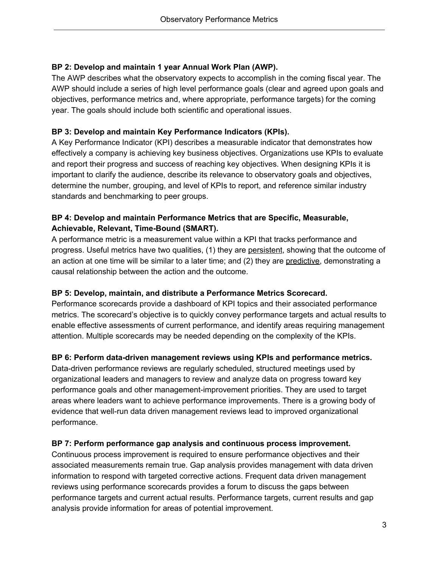#### **BP 2: Develop and maintain 1 year Annual Work Plan (AWP).**

The AWP describes what the observatory expects to accomplish in the coming fiscal year. The AWP should include a series of high level performance goals (clear and agreed upon goals and objectives, performance metrics and, where appropriate, performance targets) for the coming year. The goals should include both scientific and operational issues.

#### **BP 3: Develop and maintain Key Performance Indicators (KPIs).**

A Key Performance Indicator (KPI) describes a measurable indicator that demonstrates how effectively a company is achieving key business objectives. Organizations use KPIs to evaluate and report their progress and success of reaching key objectives. When designing KPIs it is important to clarify the audience, describe its relevance to observatory goals and objectives, determine the number, grouping, and level of KPIs to report, and reference similar industry standards and benchmarking to peer groups.

#### **BP 4: Develop and maintain Performance Metrics that are Specific, Measurable, Achievable, Relevant, Time-Bound (SMART).**

A performance metric is a measurement value within a KPI that tracks performance and progress. Useful metrics have two qualities, (1) they are persistent, showing that the outcome of an action at one time will be similar to a later time; and (2) they are predictive, demonstrating a causal relationship between the action and the outcome.

#### **BP 5: Develop, maintain, and distribute a Performance Metrics Scorecard.**

Performance scorecards provide a dashboard of KPI topics and their associated performance metrics. The scorecard's objective is to quickly convey performance targets and actual results to enable effective assessments of current performance, and identify areas requiring management attention. Multiple scorecards may be needed depending on the complexity of the KPIs.

#### **BP 6: Perform data-driven management reviews using KPIs and performance metrics.**

Data-driven performance reviews are regularly scheduled, structured meetings used by organizational leaders and managers to review and analyze data on progress toward key performance goals and other management-improvement priorities. They are used to target areas where leaders want to achieve performance improvements. There is a growing body of evidence that well-run data driven management reviews lead to improved organizational performance.

#### **BP 7: Perform performance gap analysis and continuous process improvement.**

Continuous process improvement is required to ensure performance objectives and their associated measurements remain true. Gap analysis provides management with data driven information to respond with targeted corrective actions. Frequent data driven management reviews using performance scorecards provides a forum to discuss the gaps between performance targets and current actual results. Performance targets, current results and gap analysis provide information for areas of potential improvement.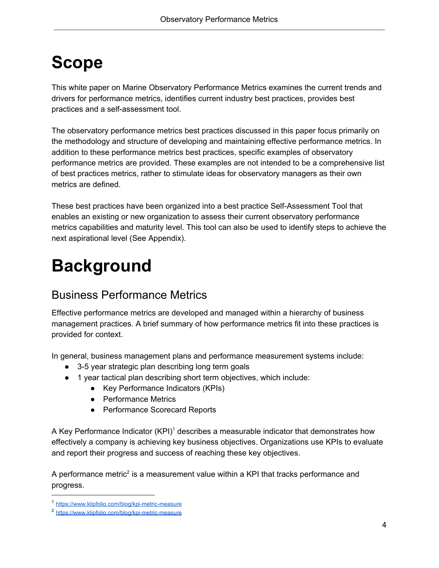## <span id="page-4-0"></span>**Scope**

This white paper on Marine Observatory Performance Metrics examines the current trends and drivers for performance metrics, identifies current industry best practices, provides best practices and a self-assessment tool.

The observatory performance metrics best practices discussed in this paper focus primarily on the methodology and structure of developing and maintaining effective performance metrics. In addition to these performance metrics best practices, specific examples of observatory performance metrics are provided. These examples are not intended to be a comprehensive list of best practices metrics, rather to stimulate ideas for observatory managers as their own metrics are defined.

These best practices have been organized into a best practice Self-Assessment Tool that enables an existing or new organization to assess their current observatory performance metrics capabilities and maturity level. This tool can also be used to identify steps to achieve the next aspirational level (See Appendix).

## <span id="page-4-1"></span>**Background**

## <span id="page-4-2"></span>Business Performance Metrics

Effective performance metrics are developed and managed within a hierarchy of business management practices. A brief summary of how performance metrics fit into these practices is provided for context.

In general, business management plans and performance measurement systems include:

- 3-5 year strategic plan describing long term goals
- 1 year tactical plan describing short term objectives, which include:
	- Key Performance Indicators (KPIs)
		- Performance Metrics
		- Performance Scorecard Reports

A Key Performance Indicator  $(KPI)^1$  describes a measurable indicator that demonstrates how effectively a company is achieving key business objectives. Organizations use KPIs to evaluate and report their progress and success of reaching these key objectives.

A performance metric<sup>2</sup> is a measurement value within a KPI that tracks performance and progress.

<sup>1</sup> <https://www.klipfolio.com/blog/kpi-metric-measure>

<sup>2</sup> <https://www.klipfolio.com/blog/kpi-metric-measure>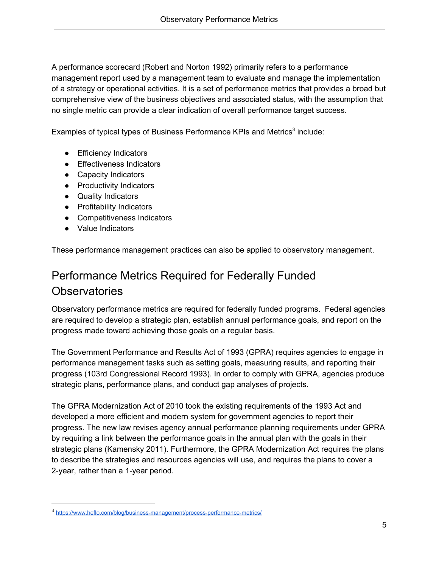A performance scorecard (Robert and Norton 1992) primarily refers to a performance management report used by a management team to evaluate and manage the implementation of a strategy or operational activities. It is a set of performance metrics that provides a broad but comprehensive view of the business objectives and associated status, with the assumption that no single metric can provide a clear indication of overall performance target success.

Examples of typical types of Business Performance KPIs and Metrics<sup>3</sup> include:

- Efficiency Indicators
- Effectiveness Indicators
- Capacity Indicators
- Productivity Indicators
- Quality Indicators
- Profitability Indicators
- Competitiveness Indicators
- Value Indicators

<span id="page-5-0"></span>These performance management practices can also be applied to observatory management.

## Performance Metrics Required for Federally Funded **Observatories**

Observatory performance metrics are required for federally funded programs. Federal agencies are required to develop a strategic plan, establish annual performance goals, and report on the progress made toward achieving those goals on a regular basis.

The Government Performance and Results Act of 1993 (GPRA) requires agencies to engage in performance management tasks such as setting goals, measuring results, and reporting their progress (103rd Congressional Record 1993). In order to comply with GPRA, agencies produce strategic plans, performance plans, and conduct gap analyses of projects.

The GPRA Modernization Act of 2010 took the existing requirements of the 1993 Act and developed a more efficient and modern system for government agencies to report their progress. The new law revises agency annual performance planning requirements under GPRA by requiring a link between the performance goals in the annual plan with the goals in their strategic plans (Kamensky 2011). Furthermore, the GPRA Modernization Act requires the plans to describe the strategies and resources agencies will use, and requires the plans to cover a 2-year, rather than a 1-year period.

<sup>3</sup> <https://www.heflo.com/blog/business-management/process-performance-metrics/>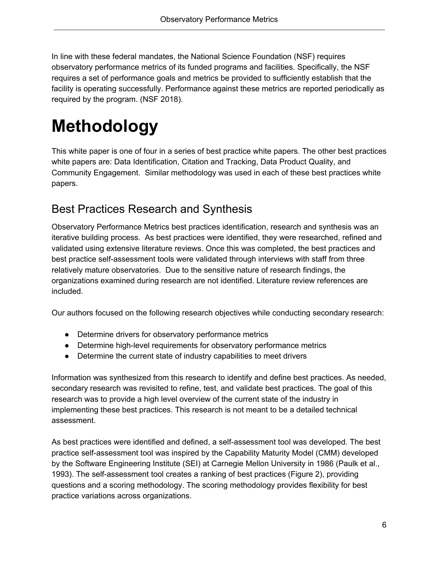In line with these federal mandates, the National Science Foundation (NSF) requires observatory performance metrics of its funded programs and facilities. Specifically, the NSF requires a set of performance goals and metrics be provided to sufficiently establish that the facility is operating successfully. Performance against these metrics are reported periodically as required by the program. (NSF 2018).

## <span id="page-6-0"></span>**Methodology**

This white paper is one of four in a series of best practice white papers. The other best practices white papers are: Data Identification, Citation and Tracking, Data Product Quality, and Community Engagement. Similar methodology was used in each of these best practices white papers.

## <span id="page-6-1"></span>Best Practices Research and Synthesis

Observatory Performance Metrics best practices identification, research and synthesis was an iterative building process. As best practices were identified, they were researched, refined and validated using extensive literature reviews. Once this was completed, the best practices and best practice self-assessment tools were validated through interviews with staff from three relatively mature observatories. Due to the sensitive nature of research findings, the organizations examined during research are not identified. Literature review references are included.

Our authors focused on the following research objectives while conducting secondary research:

- Determine drivers for observatory performance metrics
- Determine high-level requirements for observatory performance metrics
- Determine the current state of industry capabilities to meet drivers

Information was synthesized from this research to identify and define best practices. As needed, secondary research was revisited to refine, test, and validate best practices. The goal of this research was to provide a high level overview of the current state of the industry in implementing these best practices. This research is not meant to be a detailed technical assessment.

As best practices were identified and defined, a self-assessment tool was developed. The best practice self-assessment tool was inspired by the Capability Maturity Model (CMM) developed by the Software Engineering Institute (SEI) at Carnegie Mellon University in 1986 (Paulk et al., 1993). The self-assessment tool creates a ranking of best practices (Figure 2), providing questions and a scoring methodology. The scoring methodology provides flexibility for best practice variations across organizations.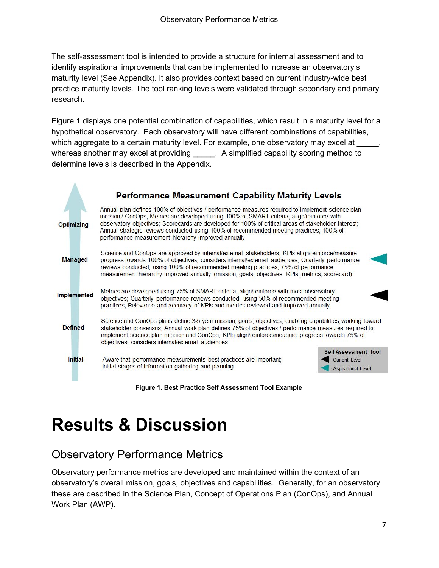The self-assessment tool is intended to provide a structure for internal assessment and to identify aspirational improvements that can be implemented to increase an observatory's maturity level (See Appendix). It also provides context based on current industry-wide best practice maturity levels. The tool ranking levels were validated through secondary and primary research.

Figure 1 displays one potential combination of capabilities, which result in a maturity level for a hypothetical observatory. Each observatory will have different combinations of capabilities, which aggregate to a certain maturity level. For example, one observatory may excel at whereas another may excel at providing a samplified capability scoring method to determine levels is described in the Appendix.



**Figure 1. Best Practice Self Assessment Tool Example**

## <span id="page-7-0"></span>**Results & Discussion**

## <span id="page-7-1"></span>Observatory Performance Metrics

Observatory performance metrics are developed and maintained within the context of an observatory's overall mission, goals, objectives and capabilities. Generally, for an observatory these are described in the Science Plan, Concept of Operations Plan (ConOps), and Annual Work Plan (AWP).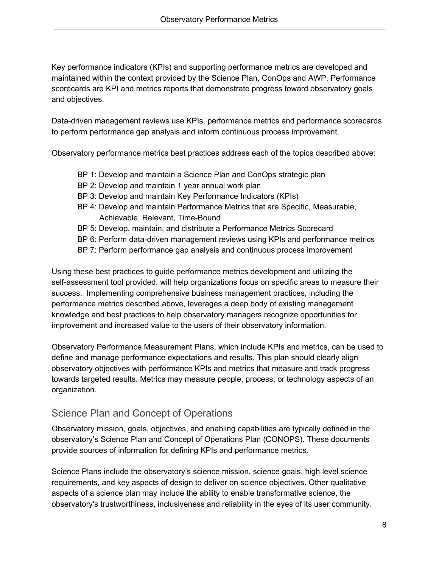Key performance indicators (KPIs) and supporting performance metrics are developed and maintained within the context provided by the Science Plan, ConOps and AWP. Performance scorecards are KPI and metrics reports that demonstrate progress toward observatory goals and objectives.

Data-driven management reviews use KPIs, performance metrics and performance scorecards to perform performance gap analysis and inform continuous process improvement.

Observatory performance metrics best practices address each of the topics described above:

- BP 1: Develop and maintain a Science Plan and ConOps strategic plan
- BP 2: Develop and maintain 1 year annual work plan
- BP 3: Develop and maintain Key Performance Indicators (KPIs)
- BP 4: Develop and maintain Performance Metrics that are Specific, Measurable, Achievable, Relevant, Time-Bound
- BP 5: Develop, maintain, and distribute a Performance Metrics Scorecard
- BP 6: Perform data-driven management reviews using KPIs and performance metrics
- BP 7: Perform performance gap analysis and continuous process improvement

Using these best practices to guide performance metrics development and utilizing the self-assessment tool provided, will help organizations focus on specific areas to measure their success. Implementing comprehensive business management practices, including the performance metrics described above, leverages a deep body of existing management knowledge and best practices to help observatory managers recognize opportunities for improvement and increased value to the users of their observatory information.

Observatory Performance Measurement Plans, which include KPIs and metrics, can be used to define and manage performance expectations and results. This plan should clearly align observatory objectives with performance KPIs and metrics that measure and track progress towards targeted results. Metrics may measure people, process, or technology aspects of an organization.

#### <span id="page-8-0"></span>Science Plan and Concept of Operations

Observatory mission, goals, objectives, and enabling capabilities are typically defined in the observatory's Science Plan and Concept of Operations Plan (CONOPS). These documents provide sources of information for defining KPIs and performance metrics.

Science Plans include the observatory's science mission, science goals, high level science requirements, and key aspects of design to deliver on science objectives. Other qualitative aspects of a science plan may include the ability to enable transformative science, the observatory's trustworthiness, inclusiveness and reliability in the eyes of its user community.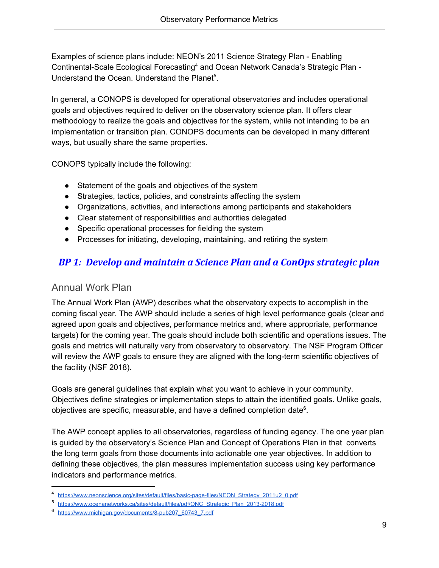Examples of science plans include: NEON's 2011 Science Strategy Plan - Enabling Continental-Scale Ecological Forecasting<sup>4</sup> and Ocean Network Canada's Strategic Plan -Understand the Ocean. Understand the Planet<sup>5</sup>.

In general, a CONOPS is developed for operational observatories and includes operational goals and objectives required to deliver on the observatory science plan. It offers clear methodology to realize the goals and objectives for the system, while not intending to be an implementation or transition plan. CONOPS documents can be developed in many different ways, but usually share the same properties.

CONOPS typically include the following:

- Statement of the goals and objectives of the system
- Strategies, tactics, policies, and constraints affecting the system
- Organizations, activities, and interactions among participants and stakeholders
- Clear statement of responsibilities and authorities delegated
- Specific operational processes for fielding the system
- Processes for initiating, developing, maintaining, and retiring the system

### *BP 1: Develop and maintain a Science Plan and a ConOps strategic plan*

#### <span id="page-9-0"></span>Annual Work Plan

The Annual Work Plan (AWP) describes what the observatory expects to accomplish in the coming fiscal year. The AWP should include a series of high level performance goals (clear and agreed upon goals and objectives, performance metrics and, where appropriate, performance targets) for the coming year. The goals should include both scientific and operations issues. The goals and metrics will naturally vary from observatory to observatory. The NSF Program Officer will review the AWP goals to ensure they are aligned with the long-term scientific objectives of the facility (NSF 2018).

Goals are general guidelines that explain what you want to achieve in your community. Objectives define strategies or implementation steps to attain the identified goals. Unlike goals, objectives are specific, measurable, and have a defined completion date $6$ .

The AWP concept applies to all observatories, regardless of funding agency. The one year plan is guided by the observatory's Science Plan and Concept of Operations Plan in that converts the long term goals from those documents into actionable one year objectives. In addition to defining these objectives, the plan measures implementation success using key performance indicators and performance metrics.

<sup>4</sup> [https://www.neonscience.org/sites/default/files/basic-page-files/NEON\\_Strategy\\_2011u2\\_0.pdf](https://www.neonscience.org/sites/default/files/basic-page-files/NEON_Strategy_2011u2_0.pdf)

<sup>5</sup> [https://www.ocenanetworks.ca/sites/default/files/pdf/ONC\\_Strategic\\_Plan\\_2013-2018.pdf](https://www.oceannetworks.ca/sites/default/files/pdf/ONC_Strategic_Plan_2013-2018.pdf)

<sup>6</sup> [https://www.michigan.gov/documents/8-pub207\\_60743\\_7.pdf](https://www.michigan.gov/documents/8-pub207_60743_7.pdf)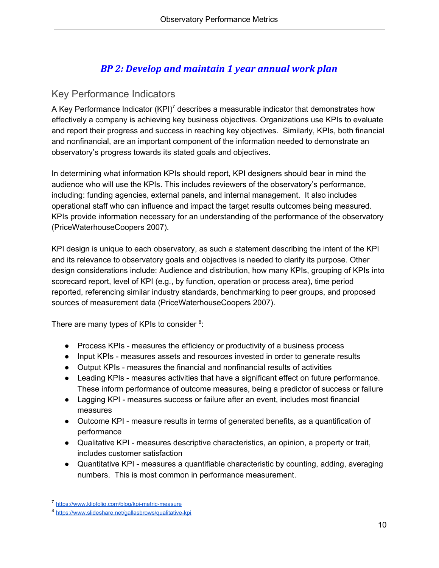### *BP 2: Develop and maintain 1 year annual work plan*

#### <span id="page-10-0"></span>Key Performance Indicators

A Key Performance Indicator  $(KPI)^7$  describes a measurable indicator that demonstrates how effectively a company is achieving key business objectives. Organizations use KPIs to evaluate and report their progress and success in reaching key objectives. Similarly, KPIs, both financial and nonfinancial, are an important component of the information needed to demonstrate an observatory's progress towards its stated goals and objectives.

In determining what information KPIs should report, KPI designers should bear in mind the audience who will use the KPIs. This includes reviewers of the observatory's performance, including: funding agencies, external panels, and internal management. It also includes operational staff who can influence and impact the target results outcomes being measured. KPIs provide information necessary for an understanding of the performance of the observatory (PriceWaterhouseCoopers 2007).

KPI design is unique to each observatory, as such a statement describing the intent of the KPI and its relevance to observatory goals and objectives is needed to clarify its purpose. Other design considerations include: Audience and distribution, how many KPIs, grouping of KPIs into scorecard report, level of KPI (e.g., by function, operation or process area), time period reported, referencing similar industry standards, benchmarking to peer groups, and proposed sources of measurement data (PriceWaterhouseCoopers 2007).

There are many types of KPIs to consider  $8$ :

- Process KPIs measures the efficiency or productivity of a business process
- Input KPIs measures assets and resources invested in order to generate results
- Output KPIs measures the financial and nonfinancial results of activities
- Leading KPIs measures activities that have a significant effect on future performance. These inform performance of outcome measures, being a predictor of success or failure
- Lagging KPI measures success or failure after an event, includes most financial measures
- Outcome KPI measure results in terms of generated benefits, as a quantification of performance
- Qualitative KPI measures descriptive characteristics, an opinion, a property or trait, includes customer satisfaction
- Quantitative KPI measures a quantifiable characteristic by counting, adding, averaging numbers. This is most common in performance measurement.

<sup>7</sup> <https://www.klipfolio.com/blog/kpi-metric-measure>

<sup>8</sup> <https://www.slideshare.net/gallasbrows/qualitative-kpi>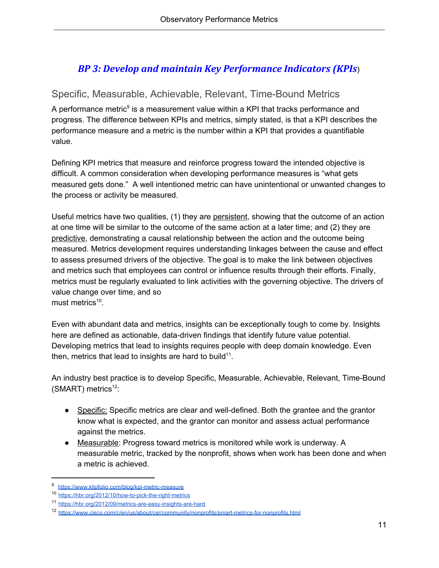### *BP 3: Develop and maintain Key Performance Indicators (KPIs*)

#### <span id="page-11-0"></span>Specific, Measurable, Achievable, Relevant, Time-Bound Metrics

A performance metric $9$  is a measurement value within a KPI that tracks performance and progress. The difference between KPIs and metrics, simply stated, is that a KPI describes the performance measure and a metric is the number within a KPI that provides a quantifiable value.

Defining KPI metrics that measure and reinforce progress toward the intended objective is difficult. A common consideration when developing performance measures is "what gets measured gets done." A well intentioned metric can have unintentional or unwanted changes to the process or activity be measured.

Useful metrics have two qualities, (1) they are persistent, showing that the outcome of an action at one time will be similar to the outcome of the same action at a later time; and (2) they are predictive, demonstrating a causal relationship between the action and the outcome being measured. Metrics development requires understanding linkages between the cause and effect to assess presumed drivers of the objective. The goal is to make the link between objectives and metrics such that employees can control or influence results through their efforts. Finally, metrics must be regularly evaluated to link activities with the governing objective. The drivers of value change over time, and so must metrics<sup>10</sup>.

Even with abundant data and metrics, insights can be exceptionally tough to come by. Insights here are defined as actionable, data-driven findings that identify future value potential. Developing metrics that lead to insights requires people with deep domain knowledge. Even then, metrics that lead to insights are hard to build<sup>11</sup>.

An industry best practice is to develop Specific, Measurable, Achievable, Relevant, Time-Bound  $(SMART)$  metrics<sup>12</sup>:

- Specific: Specific metrics are clear and well-defined. Both the grantee and the grantor know what is expected, and the grantor can monitor and assess actual performance against the metrics.
- Measurable: Progress toward metrics is monitored while work is underway. A measurable metric, tracked by the nonprofit, shows when work has been done and when a metric is achieved.

<sup>9</sup> <https://www.klipfolio.com/blog/kpi-metric-measure>

<sup>10</sup> <https://hbr.org/2012/10/how-to-pick-the-right-metrics>

<sup>11</sup> <https://hbr.org/2012/09/metrics-are-easy-insights-are-hard>

<sup>12</sup> <https://www.cisco.com/c/en/us/about/csr/community/nonprofits/smart-metrics-for-nonprofits.html>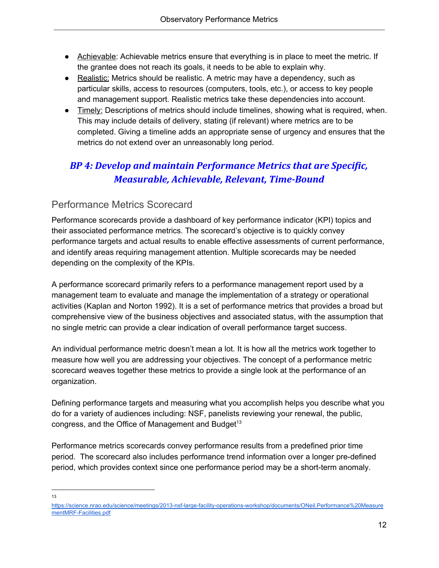- Achievable: Achievable metrics ensure that everything is in place to meet the metric. If the grantee does not reach its goals, it needs to be able to explain why.
- Realistic: Metrics should be realistic. A metric may have a dependency, such as particular skills, access to resources (computers, tools, etc.), or access to key people and management support. Realistic metrics take these dependencies into account.
- Timely: Descriptions of metrics should include timelines, showing what is required, when. This may include details of delivery, stating (if relevant) where metrics are to be completed. Giving a timeline adds an appropriate sense of urgency and ensures that the metrics do not extend over an unreasonably long period.

## *BP 4: Develop and maintain Performance Metrics that are Specific, Measurable, Achievable, Relevant, Time-Bound*

### <span id="page-12-0"></span>Performance Metrics Scorecard

Performance scorecards provide a dashboard of key performance indicator (KPI) topics and their associated performance metrics. The scorecard's objective is to quickly convey performance targets and actual results to enable effective assessments of current performance, and identify areas requiring management attention. Multiple scorecards may be needed depending on the complexity of the KPIs.

A performance scorecard primarily refers to a performance management report used by a management team to evaluate and manage the implementation of a strategy or operational activities (Kaplan and Norton 1992). It is a set of performance metrics that provides a broad but comprehensive view of the business objectives and associated status, with the assumption that no single metric can provide a clear indication of overall performance target success.

An individual performance metric doesn't mean a lot. It is how all the metrics work together to measure how well you are addressing your objectives. The concept of a performance metric scorecard weaves together these metrics to provide a single look at the performance of an organization.

Defining performance targets and measuring what you accomplish helps you describe what you do for a variety of audiences including: NSF, panelists reviewing your renewal, the public, congress, and the Office of Management and Budget<sup>13</sup>

Performance metrics scorecards convey performance results from a predefined prior time period. The scorecard also includes performance trend information over a longer pre-defined period, which provides context since one performance period may be a short-term anomaly.

13

[https://science.nrao.edu/science/meetings/2013-nsf-large-facility-operations-workshop/documents/ONeil.Performance%20Measure](https://science.nrao.edu/science/meetings/2013-nsf-large-facility-operations-workshop/documents/ONeil.Performance%20MeasurementMRF-Facilities.pdf) [mentMRF-Facilities.pdf](https://science.nrao.edu/science/meetings/2013-nsf-large-facility-operations-workshop/documents/ONeil.Performance%20MeasurementMRF-Facilities.pdf)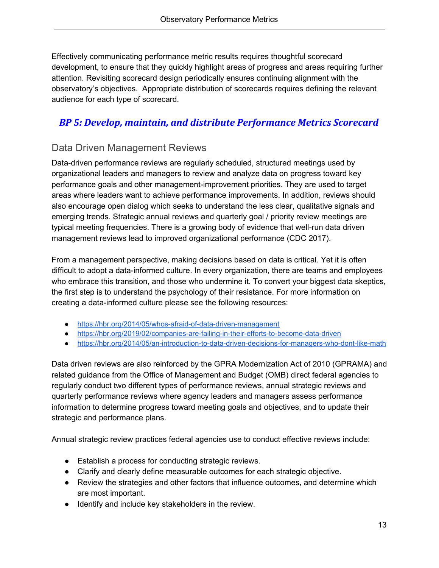Effectively communicating performance metric results requires thoughtful scorecard development, to ensure that they quickly highlight areas of progress and areas requiring further attention. Revisiting scorecard design periodically ensures continuing alignment with the observatory's objectives. Appropriate distribution of scorecards requires defining the relevant audience for each type of scorecard.

#### *BP 5: Develop, maintain, and distribute Performance Metrics Scorecard*

### <span id="page-13-0"></span>Data Driven Management Reviews

Data-driven performance reviews are regularly scheduled, structured meetings used by organizational leaders and managers to review and analyze data on progress toward key performance goals and other management-improvement priorities. They are used to target areas where leaders want to achieve performance improvements. In addition, reviews should also encourage open dialog which seeks to understand the less clear, qualitative signals and emerging trends. Strategic annual reviews and quarterly goal / priority review meetings are typical meeting frequencies. There is a growing body of evidence that well-run data driven management reviews lead to improved organizational performance (CDC 2017).

From a management perspective, making decisions based on data is critical. Yet it is often difficult to adopt a data-informed culture. In every organization, there are teams and employees who embrace this transition, and those who undermine it. To convert your biggest data skeptics, the first step is to understand the psychology of their resistance. For more information on creating a data-informed culture please see the following resources:

- <https://hbr.org/2014/05/whos-afraid-of-data-driven-management>
- <https://hbr.org/2019/02/companies-are-failing-in-their-efforts-to-become-data-driven>
- <https://hbr.org/2014/05/an-introduction-to-data-driven-decisions-for-managers-who-dont-like-math>

Data driven reviews are also reinforced by the GPRA Modernization Act of 2010 (GPRAMA) and related guidance from the Office of Management and Budget (OMB) direct federal agencies to regularly conduct two different types of performance reviews, annual strategic reviews and quarterly performance reviews where agency leaders and managers assess performance information to determine progress toward meeting goals and objectives, and to update their strategic and performance plans.

Annual strategic review practices federal agencies use to conduct effective reviews include:

- Establish a process for conducting strategic reviews.
- Clarify and clearly define measurable outcomes for each strategic objective.
- Review the strategies and other factors that influence outcomes, and determine which are most important.
- Identify and include key stakeholders in the review.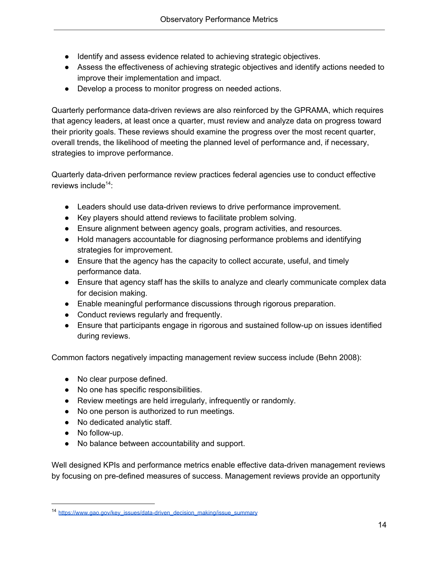- Identify and assess evidence related to achieving strategic objectives.
- Assess the effectiveness of achieving strategic objectives and identify actions needed to improve their implementation and impact.
- Develop a process to monitor progress on needed actions.

Quarterly performance data-driven reviews are also reinforced by the GPRAMA, which requires that agency leaders, at least once a quarter, must review and analyze data on progress toward their priority goals. These reviews should examine the progress over the most recent quarter, overall trends, the likelihood of meeting the planned level of performance and, if necessary, strategies to improve performance.

Quarterly data-driven performance review practices federal agencies use to conduct effective reviews include<sup>14</sup>:

- Leaders should use data-driven reviews to drive performance improvement.
- Key players should attend reviews to facilitate problem solving.
- Ensure alignment between agency goals, program activities, and resources.
- Hold managers accountable for diagnosing performance problems and identifying strategies for improvement.
- Ensure that the agency has the capacity to collect accurate, useful, and timely performance data.
- Ensure that agency staff has the skills to analyze and clearly communicate complex data for decision making.
- Enable meaningful performance discussions through rigorous preparation.
- Conduct reviews regularly and frequently.
- Ensure that participants engage in rigorous and sustained follow-up on issues identified during reviews.

Common factors negatively impacting management review success include (Behn 2008):

- No clear purpose defined.
- No one has specific responsibilities.
- Review meetings are held irregularly, infrequently or randomly.
- No one person is authorized to run meetings.
- No dedicated analytic staff.
- No follow-up.
- No balance between accountability and support.

Well designed KPIs and performance metrics enable effective data-driven management reviews by focusing on pre-defined measures of success. Management reviews provide an opportunity

<sup>14</sup> [https://www.gao.gov/key\\_issues/data-driven\\_decision\\_making/issue\\_summary](https://www.gao.gov/key_issues/data-driven_decision_making/issue_summary)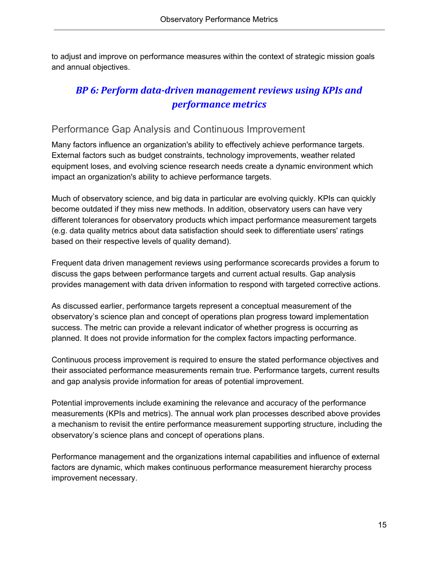to adjust and improve on performance measures within the context of strategic mission goals and annual objectives.

### *BP 6: Perform data-driven management reviews using KPIs and performance metrics*

#### <span id="page-15-0"></span>Performance Gap Analysis and Continuous Improvement

Many factors influence an organization's ability to effectively achieve performance targets. External factors such as budget constraints, technology improvements, weather related equipment loses, and evolving science research needs create a dynamic environment which impact an organization's ability to achieve performance targets.

Much of observatory science, and big data in particular are evolving quickly. KPIs can quickly become outdated if they miss new methods. In addition, observatory users can have very different tolerances for observatory products which impact performance measurement targets (e.g. data quality metrics about data satisfaction should seek to differentiate users' ratings based on their respective levels of quality demand).

Frequent data driven management reviews using performance scorecards provides a forum to discuss the gaps between performance targets and current actual results. Gap analysis provides management with data driven information to respond with targeted corrective actions.

As discussed earlier, performance targets represent a conceptual measurement of the observatory's science plan and concept of operations plan progress toward implementation success. The metric can provide a relevant indicator of whether progress is occurring as planned. It does not provide information for the complex factors impacting performance.

Continuous process improvement is required to ensure the stated performance objectives and their associated performance measurements remain true. Performance targets, current results and gap analysis provide information for areas of potential improvement.

Potential improvements include examining the relevance and accuracy of the performance measurements (KPIs and metrics). The annual work plan processes described above provides a mechanism to revisit the entire performance measurement supporting structure, including the observatory's science plans and concept of operations plans.

Performance management and the organizations internal capabilities and influence of external factors are dynamic, which makes continuous performance measurement hierarchy process improvement necessary.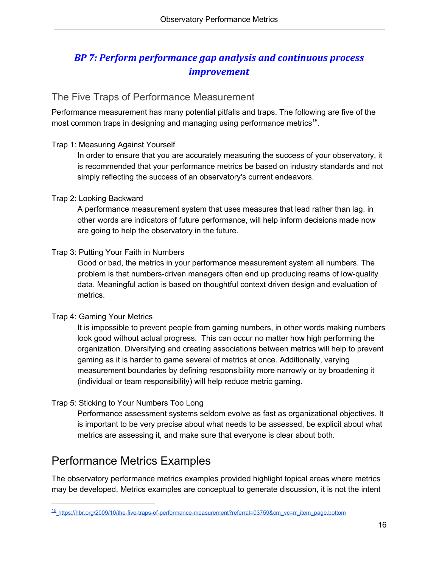### *BP 7: Perform performance gap analysis and continuous process improvement*

### <span id="page-16-0"></span>The Five Traps of Performance Measurement

Performance measurement has many potential pitfalls and traps. The following are five of the most common traps in designing and managing using performance metrics<sup>15</sup>.

#### Trap 1: Measuring Against Yourself

In order to ensure that you are accurately measuring the success of your observatory, it is recommended that your performance metrics be based on industry standards and not simply reflecting the success of an observatory's current endeavors.

#### Trap 2: Looking Backward

A performance measurement system that uses measures that lead rather than lag, in other words are indicators of future performance, will help inform decisions made now are going to help the observatory in the future.

#### Trap 3: Putting Your Faith in Numbers

Good or bad, the metrics in your performance measurement system all numbers. The problem is that numbers-driven managers often end up producing reams of low-quality data. Meaningful action is based on thoughtful context driven design and evaluation of metrics.

#### Trap 4: Gaming Your Metrics

It is impossible to prevent people from gaming numbers, in other words making numbers look good without actual progress. This can occur no matter how high performing the organization. Diversifying and creating associations between metrics will help to prevent gaming as it is harder to game several of metrics at once. Additionally, varying measurement boundaries by defining responsibility more narrowly or by broadening it (individual or team responsibility) will help reduce metric gaming.

#### Trap 5: Sticking to Your Numbers Too Long

Performance assessment systems seldom evolve as fast as organizational objectives. It is important to be very precise about what needs to be assessed, be explicit about what metrics are assessing it, and make sure that everyone is clear about both.

## <span id="page-16-1"></span>Performance Metrics Examples

The observatory performance metrics examples provided highlight topical areas where metrics may be developed. Metrics examples are conceptual to generate discussion, it is not the intent

<sup>15</sup> [https://hbr.org/2009/10/the-five-traps-of-performance-measurement?referral=03759&cm\\_vc=rr\\_item\\_page.bottom](https://hbr.org/2009/10/the-five-traps-of-performance-measurement?referral=03759&cm_vc=rr_item_page.bottom)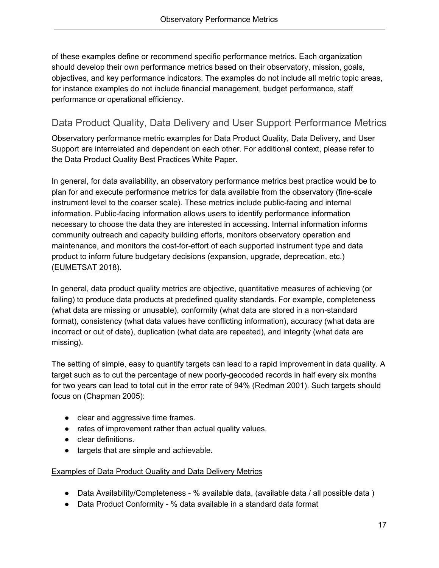of these examples define or recommend specific performance metrics. Each organization should develop their own performance metrics based on their observatory, mission, goals, objectives, and key performance indicators. The examples do not include all metric topic areas, for instance examples do not include financial management, budget performance, staff performance or operational efficiency.

#### <span id="page-17-0"></span>Data Product Quality, Data Delivery and User Support Performance Metrics

Observatory performance metric examples for Data Product Quality, Data Delivery, and User Support are interrelated and dependent on each other. For additional context, please refer to the Data Product Quality Best Practices White Paper.

In general, for data availability, an observatory performance metrics best practice would be to plan for and execute performance metrics for data available from the observatory (fine-scale instrument level to the coarser scale). These metrics include public-facing and internal information. Public-facing information allows users to identify performance information necessary to choose the data they are interested in accessing. Internal information informs community outreach and capacity building efforts, monitors observatory operation and maintenance, and monitors the cost-for-effort of each supported instrument type and data product to inform future budgetary decisions (expansion, upgrade, deprecation, etc.) (EUMETSAT 2018).

In general, data product quality metrics are objective, quantitative measures of achieving (or failing) to produce data products at predefined quality standards. For example, completeness (what data are missing or unusable), conformity (what data are stored in a non-standard format), consistency (what data values have conflicting information), accuracy (what data are incorrect or out of date), duplication (what data are repeated), and integrity (what data are missing).

The setting of simple, easy to quantify targets can lead to a rapid improvement in data quality. A target such as to cut the percentage of new poorly-geocoded records in half every six months for two years can lead to total cut in the error rate of 94% (Redman 2001). Such targets should focus on (Chapman 2005):

- clear and aggressive time frames.
- rates of improvement rather than actual quality values.
- clear definitions.
- targets that are simple and achievable.

#### Examples of Data Product Quality and Data Delivery Metrics

- Data Availability/Completeness % available data, (available data / all possible data)
- Data Product Conformity % data available in a standard data format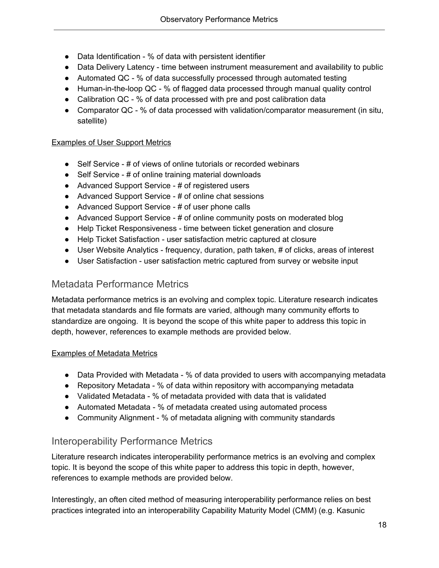- Data Identification % of data with persistent identifier
- Data Delivery Latency time between instrument measurement and availability to public
- Automated QC % of data successfully processed through automated testing
- Human-in-the-loop QC % of flagged data processed through manual quality control
- Calibration QC % of data processed with pre and post calibration data
- Comparator QC % of data processed with validation/comparator measurement (in situ, satellite)

#### Examples of User Support Metrics

- Self Service # of views of online tutorials or recorded webinars
- Self Service # of online training material downloads
- Advanced Support Service # of registered users
- Advanced Support Service # of online chat sessions
- Advanced Support Service # of user phone calls
- Advanced Support Service # of online community posts on moderated blog
- Help Ticket Responsiveness time between ticket generation and closure
- Help Ticket Satisfaction user satisfaction metric captured at closure
- User Website Analytics frequency, duration, path taken, # of clicks, areas of interest
- User Satisfaction user satisfaction metric captured from survey or website input

#### <span id="page-18-0"></span>Metadata Performance Metrics

Metadata performance metrics is an evolving and complex topic. Literature research indicates that metadata standards and file formats are varied, although many community efforts to standardize are ongoing. It is beyond the scope of this white paper to address this topic in depth, however, references to example methods are provided below.

#### Examples of Metadata Metrics

- Data Provided with Metadata % of data provided to users with accompanying metadata
- Repository Metadata  $%$  of data within repository with accompanying metadata
- Validated Metadata % of metadata provided with data that is validated
- Automated Metadata % of metadata created using automated process
- Community Alignment % of metadata aligning with community standards

#### <span id="page-18-1"></span>Interoperability Performance Metrics

Literature research indicates interoperability performance metrics is an evolving and complex topic. It is beyond the scope of this white paper to address this topic in depth, however, references to example methods are provided below.

Interestingly, an often cited method of measuring interoperability performance relies on best practices integrated into an interoperability Capability Maturity Model (CMM) (e.g. Kasunic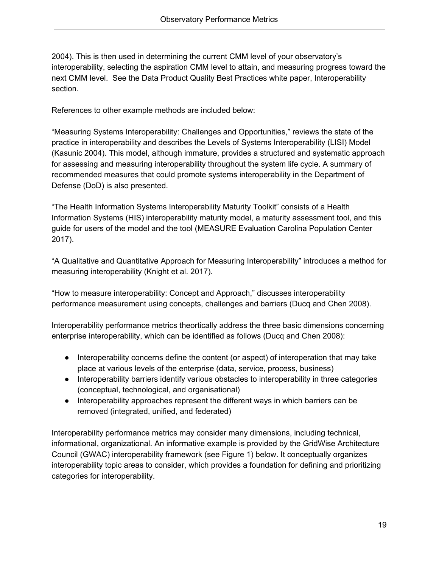2004). This is then used in determining the current CMM level of your observatory's interoperability, selecting the aspiration CMM level to attain, and measuring progress toward the next CMM level. See the Data Product Quality Best Practices white paper, Interoperability section.

References to other example methods are included below:

"Measuring Systems Interoperability: Challenges and Opportunities," reviews the state of the practice in interoperability and describes the Levels of Systems Interoperability (LISI) Model (Kasunic 2004). This model, although immature, provides a structured and systematic approach for assessing and measuring interoperability throughout the system life cycle. A summary of recommended measures that could promote systems interoperability in the Department of Defense (DoD) is also presented.

"The Health Information Systems Interoperability Maturity Toolkit" consists of a Health Information Systems (HIS) interoperability maturity model, a maturity assessment tool, and this guide for users of the model and the tool (MEASURE Evaluation Carolina Population Center 2017).

"A Qualitative and Quantitative Approach for Measuring Interoperability" introduces a method for measuring interoperability (Knight et al. 2017).

"How to measure interoperability: Concept and Approach," discusses interoperability performance measurement using concepts, challenges and barriers (Ducq and Chen 2008).

Interoperability performance metrics theortically address the three basic dimensions concerning enterprise interoperability, which can be identified as follows (Ducq and Chen 2008):

- Interoperability concerns define the content (or aspect) of interoperation that may take place at various levels of the enterprise (data, service, process, business)
- Interoperability barriers identify various obstacles to interoperability in three categories (conceptual, technological, and organisational)
- Interoperability approaches represent the different ways in which barriers can be removed (integrated, unified, and federated)

Interoperability performance metrics may consider many dimensions, including technical, informational, organizational. An informative example is provided by the GridWise Architecture Council (GWAC) interoperability framework (see Figure 1) below. It conceptually organizes interoperability topic areas to consider, which provides a foundation for defining and prioritizing categories for interoperability.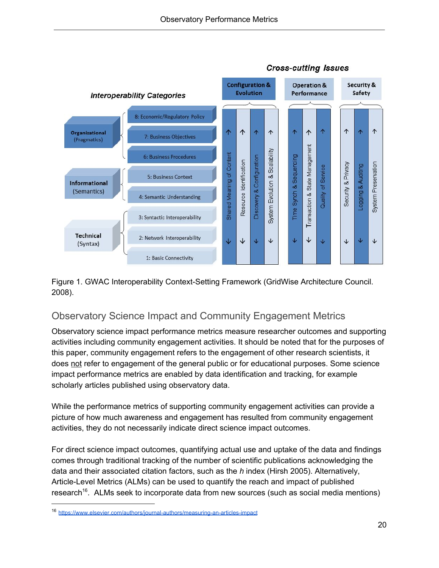

**Cross-cutting Issues** 

Figure 1. GWAC Interoperability Context-Setting Framework (GridWise Architecture Council. 2008).

### <span id="page-20-0"></span>Observatory Science Impact and Community Engagement Metrics

Observatory science impact performance metrics measure researcher outcomes and supporting activities including community engagement activities. It should be noted that for the purposes of this paper, community engagement refers to the engagement of other research scientists, it does not refer to engagement of the general public or for educational purposes. Some science impact performance metrics are enabled by data identification and tracking, for example scholarly articles published using observatory data.

While the performance metrics of supporting community engagement activities can provide a picture of how much awareness and engagement has resulted from community engagement activities, they do not necessarily indicate direct science impact outcomes.

For direct science impact outcomes, quantifying actual use and uptake of the data and findings comes through traditional tracking of the number of scientific publications acknowledging the data and their associated citation factors, such as the *h* index (Hirsh 2005). Alternatively, Article-Level Metrics (ALMs) can be used to quantify the reach and impact of published research<sup>16</sup>. ALMs seek to incorporate data from new sources (such as social media mentions)

<sup>16</sup> <https://www.elsevier.com/authors/journal-authors/measuring-an-articles-impact>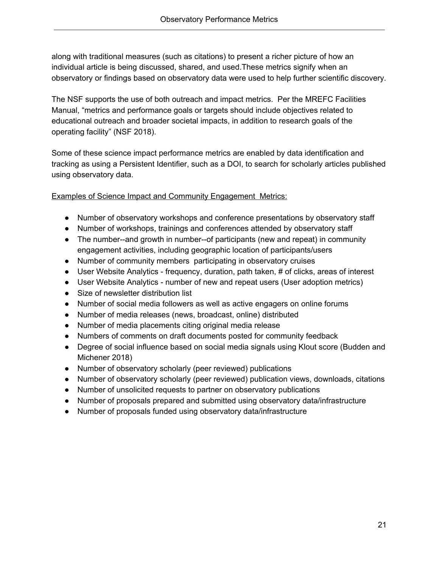along with traditional measures (such as citations) to present a richer picture of how an individual article is being discussed, shared, and used.These metrics signify when an observatory or findings based on observatory data were used to help further scientific discovery.

The NSF supports the use of both outreach and impact metrics. Per the MREFC Facilities Manual, "metrics and performance goals or targets should include objectives related to educational outreach and broader societal impacts, in addition to research goals of the operating facility" (NSF 2018).

Some of these science impact performance metrics are enabled by data identification and tracking as using a Persistent Identifier, such as a DOI, to search for scholarly articles published using observatory data.

Examples of Science Impact and Community Engagement Metrics:

- Number of observatory workshops and conference presentations by observatory staff
- Number of workshops, trainings and conferences attended by observatory staff
- The number--and growth in number--of participants (new and repeat) in community engagement activities, including geographic location of participants/users
- Number of community members participating in observatory cruises
- User Website Analytics frequency, duration, path taken, # of clicks, areas of interest
- User Website Analytics number of new and repeat users (User adoption metrics)
- Size of newsletter distribution list
- Number of social media followers as well as active engagers on online forums
- Number of media releases (news, broadcast, online) distributed
- Number of media placements citing original media release
- Numbers of comments on draft documents posted for community feedback
- Degree of social influence based on social media signals using Klout score (Budden and Michener 2018)
- Number of observatory scholarly (peer reviewed) publications
- Number of observatory scholarly (peer reviewed) publication views, downloads, citations
- Number of unsolicited requests to partner on observatory publications
- Number of proposals prepared and submitted using observatory data/infrastructure
- Number of proposals funded using observatory data/infrastructure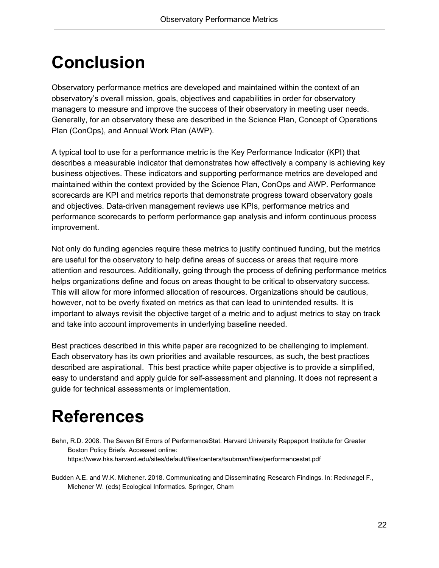## <span id="page-22-0"></span>**Conclusion**

Observatory performance metrics are developed and maintained within the context of an observatory's overall mission, goals, objectives and capabilities in order for observatory managers to measure and improve the success of their observatory in meeting user needs. Generally, for an observatory these are described in the Science Plan, Concept of Operations Plan (ConOps), and Annual Work Plan (AWP).

A typical tool to use for a performance metric is the Key Performance Indicator (KPI) that describes a measurable indicator that demonstrates how effectively a company is achieving key business objectives. These indicators and supporting performance metrics are developed and maintained within the context provided by the Science Plan, ConOps and AWP. Performance scorecards are KPI and metrics reports that demonstrate progress toward observatory goals and objectives. Data-driven management reviews use KPIs, performance metrics and performance scorecards to perform performance gap analysis and inform continuous process improvement.

Not only do funding agencies require these metrics to justify continued funding, but the metrics are useful for the observatory to help define areas of success or areas that require more attention and resources. Additionally, going through the process of defining performance metrics helps organizations define and focus on areas thought to be critical to observatory success. This will allow for more informed allocation of resources. Organizations should be cautious, however, not to be overly fixated on metrics as that can lead to unintended results. It is important to always revisit the objective target of a metric and to adjust metrics to stay on track and take into account improvements in underlying baseline needed.

Best practices described in this white paper are recognized to be challenging to implement. Each observatory has its own priorities and available resources, as such, the best practices described are aspirational. This best practice white paper objective is to provide a simplified, easy to understand and apply guide for self-assessment and planning. It does not represent a guide for technical assessments or implementation.

## <span id="page-22-1"></span>**References**

Behn, R.D. 2008. The Seven Bif Errors of PerformanceStat. Harvard University Rappaport Institute for Greater Boston Policy Briefs. Accessed online: https://www.hks.harvard.edu/sites/default/files/centers/taubman/files/performancestat.pdf

Budden A.E. and W.K. Michener. 2018. Communicating and Disseminating Research Findings. In: Recknagel F., Michener W. (eds) Ecological Informatics. Springer, Cham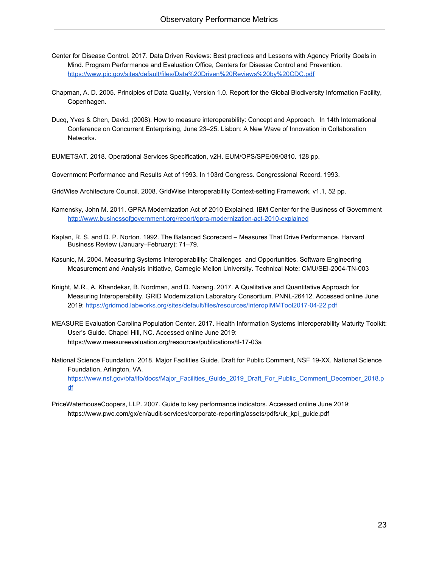- Center for Disease Control. 2017. Data Driven Reviews: Best practices and Lessons with Agency Priority Goals in Mind. Program Performance and Evaluation Office, Centers for Disease Control and Prevention. <https://www.pic.gov/sites/default/files/Data%20Driven%20Reviews%20by%20CDC.pdf>
- Chapman, A. D. 2005. Principles of Data Quality, Version 1.0. Report for the Global Biodiversity Information Facility, Copenhagen.
- Ducq, Yves & Chen, David. (2008). How to measure interoperability: Concept and Approach. In 14th International Conference on Concurrent Enterprising, June 23–25. Lisbon: A New Wave of Innovation in Collaboration Networks.

EUMETSAT. 2018. Operational Services Specification, v2H. EUM/OPS/SPE/09/0810. 128 pp.

Government Performance and Results Act of 1993. In 103rd Congress. Congressional Record. 1993.

- GridWise Architecture Council. 2008. GridWise Interoperability Context-setting Framework, v1.1, 52 pp.
- Kamensky, John M. 2011. GPRA Modernization Act of 2010 Explained. IBM Center for the Business of Government <http://www.businessofgovernment.org/report/gpra-modernization-act-2010-explained>
- Kaplan, R. S. and D. P. Norton. 1992. The Balanced Scorecard Measures That Drive Performance. Harvard Business Review (January–February): 71–79.
- Kasunic, M. 2004. Measuring Systems Interoperability: Challenges and Opportunities. Software Engineering Measurement and Analysis Initiative, Carnegie Mellon University. Technical Note: CMU/SEI-2004-TN-003
- Knight, M.R., A. Khandekar, B. Nordman, and D. Narang. 2017. A Qualitative and Quantitative Approach for Measuring Interoperability. GRID Modernization Laboratory Consortium. PNNL-26412. Accessed online June 2019:<https://gridmod.labworks.org/sites/default/files/resources/InteropIMMTool2017-04-22.pdf>
- MEASURE Evaluation Carolina Population Center. 2017. Health Information Systems Interoperability Maturity Toolkit: User's Guide. Chapel Hill, NC. Accessed online June 2019: https://www.measureevaluation.org/resources/publications/tl-17-03a
- National Science Foundation. 2018. Major Facilities Guide. Draft for Public Comment, NSF 19-XX. National Science Foundation, Arlington, VA. [https://www.nsf.gov/bfa/lfo/docs/Major\\_Facilities\\_Guide\\_2019\\_Draft\\_For\\_Public\\_Comment\\_December\\_2018.p](https://www.nsf.gov/bfa/lfo/docs/Major_Facilities_Guide_2019_Draft_For_Public_Comment_December_2018.pdf) [df](https://www.nsf.gov/bfa/lfo/docs/Major_Facilities_Guide_2019_Draft_For_Public_Comment_December_2018.pdf)
- PriceWaterhouseCoopers, LLP. 2007. Guide to key performance indicators. Accessed online June 2019: https://www.pwc.com/gx/en/audit-services/corporate-reporting/assets/pdfs/uk\_kpi\_guide.pdf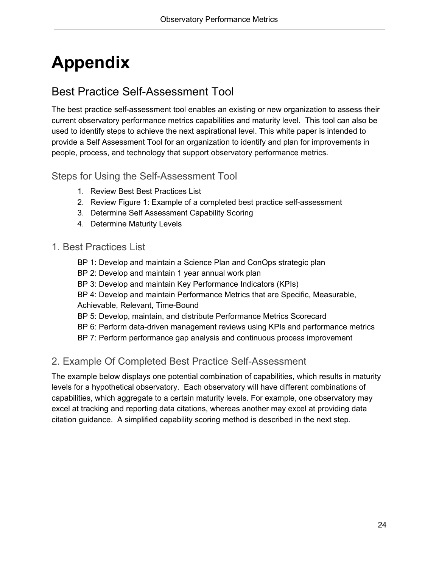## <span id="page-24-0"></span>**Appendix**

## <span id="page-24-1"></span>Best Practice Self-Assessment Tool

The best practice self-assessment tool enables an existing or new organization to assess their current observatory performance metrics capabilities and maturity level. This tool can also be used to identify steps to achieve the next aspirational level. This white paper is intended to provide a Self Assessment Tool for an organization to identify and plan for improvements in people, process, and technology that support observatory performance metrics.

#### <span id="page-24-2"></span>Steps for Using the Self-Assessment Tool

- 1. Review Best Best Practices List
- 2. Review Figure 1: Example of a completed best practice self-assessment
- 3. Determine Self Assessment Capability Scoring
- 4. Determine Maturity Levels

#### <span id="page-24-3"></span>1. Best Practices List

- BP 1: Develop and maintain a Science Plan and ConOps strategic plan
- BP 2: Develop and maintain 1 year annual work plan
- BP 3: Develop and maintain Key Performance Indicators (KPIs)
- BP 4: Develop and maintain Performance Metrics that are Specific, Measurable, Achievable, Relevant, Time-Bound
- BP 5: Develop, maintain, and distribute Performance Metrics Scorecard
- BP 6: Perform data-driven management reviews using KPIs and performance metrics
- BP 7: Perform performance gap analysis and continuous process improvement

#### <span id="page-24-4"></span>2. Example Of Completed Best Practice Self-Assessment

The example below displays one potential combination of capabilities, which results in maturity levels for a hypothetical observatory. Each observatory will have different combinations of capabilities, which aggregate to a certain maturity levels. For example, one observatory may excel at tracking and reporting data citations, whereas another may excel at providing data citation guidance. A simplified capability scoring method is described in the next step.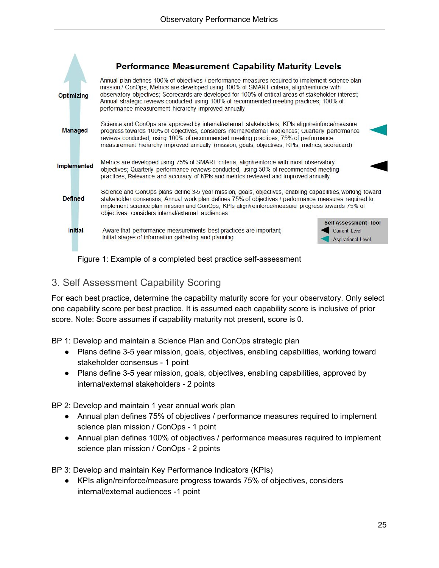

Figure 1: Example of a completed best practice self-assessment

#### <span id="page-25-0"></span>3. Self Assessment Capability Scoring

For each best practice, determine the capability maturity score for your observatory. Only select one capability score per best practice. It is assumed each capability score is inclusive of prior score. Note: Score assumes if capability maturity not present, score is 0.

BP 1: Develop and maintain a Science Plan and ConOps strategic plan

- Plans define 3-5 year mission, goals, objectives, enabling capabilities, working toward stakeholder consensus - 1 point
- Plans define 3-5 year mission, goals, objectives, enabling capabilities, approved by internal/external stakeholders - 2 points

BP 2: Develop and maintain 1 year annual work plan

- Annual plan defines 75% of objectives / performance measures required to implement science plan mission / ConOps - 1 point
- Annual plan defines 100% of objectives / performance measures required to implement science plan mission / ConOps - 2 points

BP 3: Develop and maintain Key Performance Indicators (KPIs)

● KPIs align/reinforce/measure progress towards 75% of objectives, considers internal/external audiences -1 point